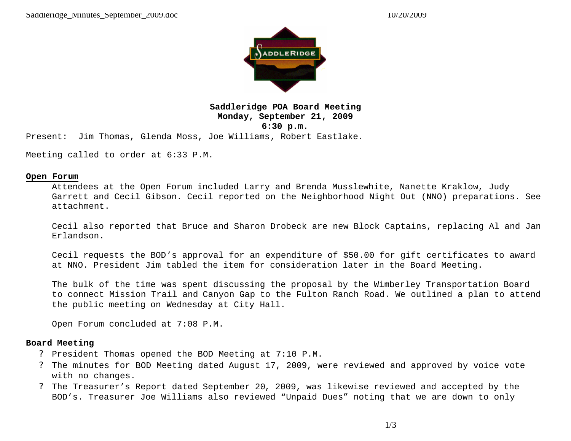

**Saddleridge POA Board Meeting Monday, September 21, 2009 6:30 p.m.**

Present: Jim Thomas, Glenda Moss, Joe Williams, Robert Eastlake.

Meeting called to order at 6:33 P.M.

#### **Open Forum**

Attendees at the Open Forum included Larry and Brenda Musslewhite, Nanette Kraklow, Judy Garrett and Cecil Gibson. Cecil reported on the Neighborhood Night Out (NNO) preparations. See attachment.

Cecil also reported that Bruce and Sharon Drobeck are new Block Captains, replacing Al and Jan Erlandson.

Cecil requests the BOD's approval for an expenditure of \$50.00 for gift certificates to award at NNO. President Jim tabled the item for consideration later in the Board Meeting.

The bulk of the time was spent discussing the proposal by the Wimberley Transportation Board to connect Mission Trail and Canyon Gap to the Fulton Ranch Road. We outlined a plan to attend the public meeting on Wednesday at City Hall.

Open Forum concluded at 7:08 P.M.

#### **Board Meeting**

- ? President Thomas opened the BOD Meeting at 7:10 P.M.
- ? The minutes for BOD Meeting dated August 17, 2009, were reviewed and approved by voice vote with no changes.
- ? The Treasurer's Report dated September 20, 2009, was likewise reviewed and accepted by the BOD's. Treasurer Joe Williams also reviewed "Unpaid Dues" noting that we are down to only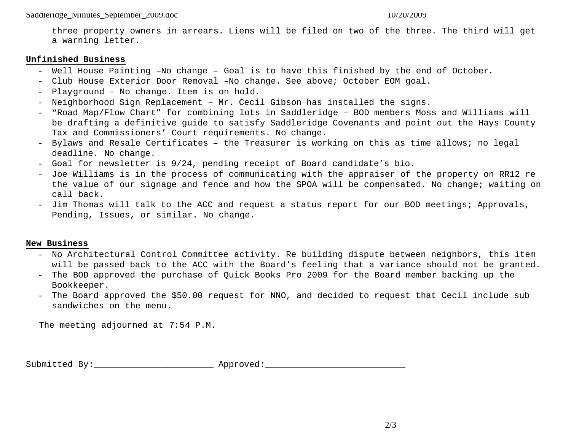three property owners in arrears. Liens will be filed on two of the three. The third will get a warning letter.

#### **Unfinished Business**

- Well House Painting –No change Goal is to have this finished by the end of October.
- Club House Exterior Door Removal –No change. See above; October EOM goal.
- Playground No change. Item is on hold.
- Neighborhood Sign Replacement Mr. Cecil Gibson has installed the signs.
- "Road Map/Flow Chart" for combining lots in Saddleridge BOD members Moss and Williams will be drafting a definitive guide to satisfy Saddleridge Covenants and point out the Hays County Tax and Commissioners' Court requirements. No change.
- Bylaws and Resale Certificates the Treasurer is working on this as time allows; no legal deadline. No change.
- Goal for newsletter is 9/24, pending receipt of Board candidate's bio.
- Joe Williams is in the process of communicating with the appraiser of the property on RR12 re the value of our signage and fence and how the SPOA will be compensated. No change; waiting on call back.
- Jim Thomas will talk to the ACC and request a status report for our BOD meetings; Approvals, Pending, Issues, or similar. No change.

### **New Business**

- No Architectural Control Committee activity. Re building dispute between neighbors, this item will be passed back to the ACC with the Board's feeling that a variance should not be granted.
- The BOD approved the purchase of Quick Books Pro 2009 for the Board member backing up the Bookkeeper.
- The Board approved the \$50.00 request for NNO, and decided to request that Cecil include sub sandwiches on the menu.

The meeting adjourned at 7:54 P.M.

Submitted By: \_\_\_\_\_\_\_\_\_\_\_\_\_\_\_\_\_\_\_\_\_\_\_\_\_\_ Approved: \_\_\_\_\_\_\_\_\_\_\_\_\_\_\_\_\_\_\_\_\_\_\_\_\_\_\_\_\_